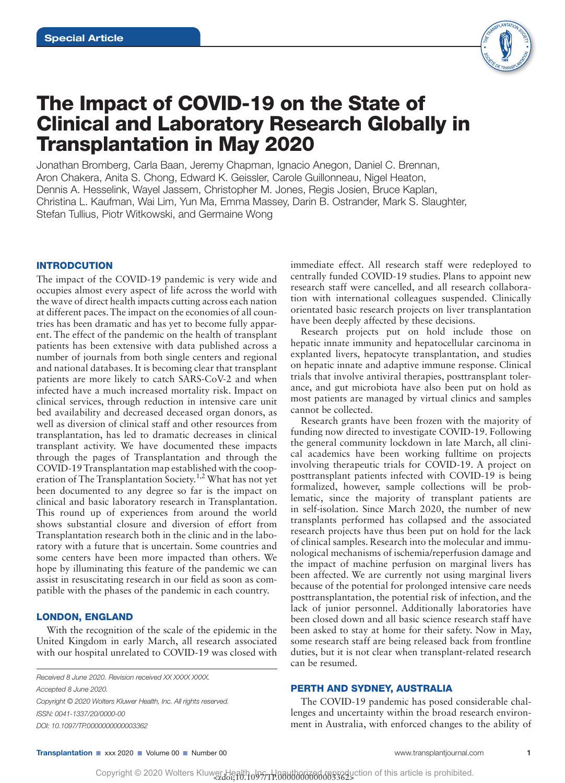

# The Impact of COVID-19 on the State of Clinical and Laboratory Research Globally in Transplantation in May 2020

Jonathan Bromberg, Carla Baan, Jeremy Chapman, Ignacio Anegon, Daniel C. Brennan, Aron Chakera, Anita S. Chong, Edward K. Geissler, Carole Guillonneau, Nigel Heaton, Dennis A. Hesselink, Wayel Jassem, Christopher M. Jones, Regis Josien, Bruce Kaplan, Christina L. Kaufman, Wai Lim, Yun Ma, Emma Massey, Darin B. Ostrander, Mark S. Slaughter, Stefan Tullius, Piotr Witkowski, and Germaine Wong

# INTRODCUTION

The impact of the COVID-19 pandemic is very wide and occupies almost every aspect of life across the world with the wave of direct health impacts cutting across each nation at different paces. The impact on the economies of all countries has been dramatic and has yet to become fully apparent. The effect of the pandemic on the health of transplant patients has been extensive with data published across a number of journals from both single centers and regional and national databases. It is becoming clear that transplant patients are more likely to catch SARS-CoV-2 and when infected have a much increased mortality risk. Impact on clinical services, through reduction in intensive care unit bed availability and decreased deceased organ donors, as well as diversion of clinical staff and other resources from transplantation, has led to dramatic decreases in clinical transplant activity. We have documented these impacts through the pages of Transplantation and through the COVID-19 Transplantation map established with the cooperation of The Transplantation Society.1,2 What has not yet been documented to any degree so far is the impact on clinical and basic laboratory research in Transplantation. This round up of experiences from around the world shows substantial closure and diversion of effort from Transplantation research both in the clinic and in the laboratory with a future that is uncertain. Some countries and some centers have been more impacted than others. We hope by illuminating this feature of the pandemic we can assist in resuscitating research in our field as soon as compatible with the phases of the pandemic in each country.

# LONDON, ENGLAND

With the recognition of the scale of the epidemic in the United Kingdom in early March, all research associated with our hospital unrelated to COVID-19 was closed with

*ISSN: 0041-1337/20/0000-00 DOI: 10.1097/TP.0000000000003362 Received 8 June 2020. Revision received XX XXXX XXXX. Accepted 8 June 2020. Copyright © 2020 Wolters Kluwer Health, Inc. All rights reserved.* immediate effect. All research staff were redeployed to centrally funded COVID-19 studies. Plans to appoint new research staff were cancelled, and all research collaboration with international colleagues suspended. Clinically orientated basic research projects on liver transplantation have been deeply affected by these decisions.

Research projects put on hold include those on hepatic innate immunity and hepatocellular carcinoma in explanted livers, hepatocyte transplantation, and studies on hepatic innate and adaptive immune response. Clinical trials that involve antiviral therapies, posttransplant tolerance, and gut microbiota have also been put on hold as most patients are managed by virtual clinics and samples cannot be collected.

Research grants have been frozen with the majority of funding now directed to investigate COVID-19. Following the general community lockdown in late March, all clinical academics have been working fulltime on projects involving therapeutic trials for COVID-19. A project on posttransplant patients infected with COVID-19 is being formalized, however, sample collections will be problematic, since the majority of transplant patients are in self-isolation. Since March 2020, the number of new transplants performed has collapsed and the associated research projects have thus been put on hold for the lack of clinical samples. Research into the molecular and immunological mechanisms of ischemia/reperfusion damage and the impact of machine perfusion on marginal livers has been affected. We are currently not using marginal livers because of the potential for prolonged intensive care needs posttransplantation, the potential risk of infection, and the lack of junior personnel. Additionally laboratories have been closed down and all basic science research staff have been asked to stay at home for their safety. Now in May, some research staff are being released back from frontline duties, but it is not clear when transplant-related research can be resumed.

#### PERTH AND SYDNEY, AUSTRALIA

The COVID-19 pandemic has posed considerable challenges and uncertainty within the broad research environment in Australia, with enforced changes to the ability of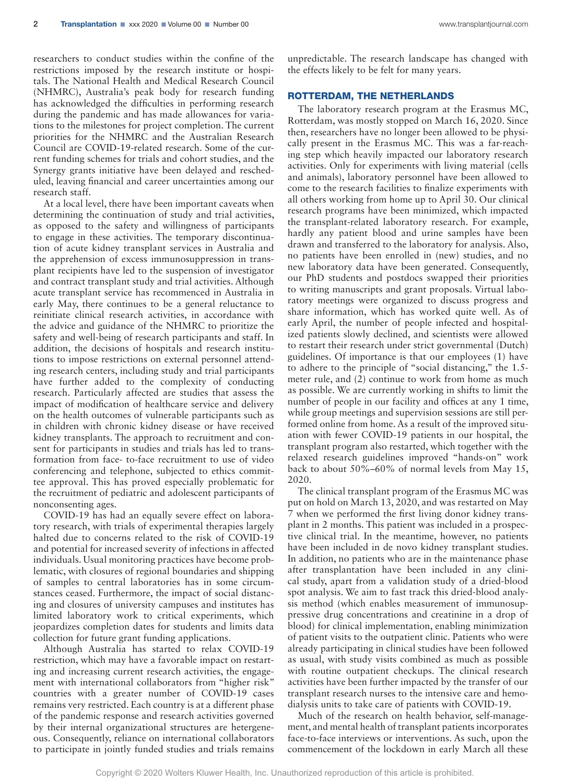researchers to conduct studies within the confine of the restrictions imposed by the research institute or hospitals. The National Health and Medical Research Council (NHMRC), Australia's peak body for research funding has acknowledged the difficulties in performing research during the pandemic and has made allowances for variations to the milestones for project completion. The current priorities for the NHMRC and the Australian Research Council are COVID-19-related research. Some of the current funding schemes for trials and cohort studies, and the Synergy grants initiative have been delayed and rescheduled, leaving financial and career uncertainties among our research staff.

At a local level, there have been important caveats when determining the continuation of study and trial activities, as opposed to the safety and willingness of participants to engage in these activities. The temporary discontinuation of acute kidney transplant services in Australia and the apprehension of excess immunosuppression in transplant recipients have led to the suspension of investigator and contract transplant study and trial activities. Although acute transplant service has recommenced in Australia in early May, there continues to be a general reluctance to reinitiate clinical research activities, in accordance with the advice and guidance of the NHMRC to prioritize the safety and well-being of research participants and staff. In addition, the decisions of hospitals and research institutions to impose restrictions on external personnel attending research centers, including study and trial participants have further added to the complexity of conducting research. Particularly affected are studies that assess the impact of modification of healthcare service and delivery on the health outcomes of vulnerable participants such as in children with chronic kidney disease or have received kidney transplants. The approach to recruitment and consent for participants in studies and trials has led to transformation from face- to-face recruitment to use of video conferencing and telephone, subjected to ethics committee approval. This has proved especially problematic for the recruitment of pediatric and adolescent participants of nonconsenting ages.

COVID-19 has had an equally severe effect on laboratory research, with trials of experimental therapies largely halted due to concerns related to the risk of COVID-19 and potential for increased severity of infections in affected individuals. Usual monitoring practices have become problematic, with closures of regional boundaries and shipping of samples to central laboratories has in some circumstances ceased. Furthermore, the impact of social distancing and closures of university campuses and institutes has limited laboratory work to critical experiments, which jeopardizes completion dates for students and limits data collection for future grant funding applications.

Although Australia has started to relax COVID-19 restriction, which may have a favorable impact on restarting and increasing current research activities, the engagement with international collaborators from "higher risk" countries with a greater number of COVID-19 cases remains very restricted. Each country is at a different phase of the pandemic response and research activities governed by their internal organizational structures are hetergeneous. Consequently, reliance on international collaborators to participate in jointly funded studies and trials remains

unpredictable. The research landscape has changed with the effects likely to be felt for many years.

#### ROTTERDAM, THE NETHERLANDS

The laboratory research program at the Erasmus MC, Rotterdam, was mostly stopped on March 16, 2020. Since then, researchers have no longer been allowed to be physically present in the Erasmus MC. This was a far-reaching step which heavily impacted our laboratory research activities. Only for experiments with living material (cells and animals), laboratory personnel have been allowed to come to the research facilities to finalize experiments with all others working from home up to April 30. Our clinical research programs have been minimized, which impacted the transplant-related laboratory research. For example, hardly any patient blood and urine samples have been drawn and transferred to the laboratory for analysis. Also, no patients have been enrolled in (new) studies, and no new laboratory data have been generated. Consequently, our PhD students and postdocs swapped their priorities to writing manuscripts and grant proposals. Virtual laboratory meetings were organized to discuss progress and share information, which has worked quite well. As of early April, the number of people infected and hospitalized patients slowly declined, and scientists were allowed to restart their research under strict governmental (Dutch) guidelines. Of importance is that our employees (1) have to adhere to the principle of "social distancing," the 1.5 meter rule, and (2) continue to work from home as much as possible. We are currently working in shifts to limit the number of people in our facility and offices at any 1 time, while group meetings and supervision sessions are still performed online from home. As a result of the improved situation with fewer COVID-19 patients in our hospital, the transplant program also restarted, which together with the relaxed research guidelines improved "hands-on" work back to about 50%–60% of normal levels from May 15, 2020.

The clinical transplant program of the Erasmus MC was put on hold on March 13, 2020, and was restarted on May 7 when we performed the first living donor kidney transplant in 2 months. This patient was included in a prospective clinical trial. In the meantime, however, no patients have been included in de novo kidney transplant studies. In addition, no patients who are in the maintenance phase after transplantation have been included in any clinical study, apart from a validation study of a dried-blood spot analysis. We aim to fast track this dried-blood analysis method (which enables measurement of immunosuppressive drug concentrations and creatinine in a drop of blood) for clinical implementation, enabling minimization of patient visits to the outpatient clinic. Patients who were already participating in clinical studies have been followed as usual, with study visits combined as much as possible with routine outpatient checkups. The clinical research activities have been further impacted by the transfer of our transplant research nurses to the intensive care and hemodialysis units to take care of patients with COVID-19.

Much of the research on health behavior, self-management, and mental health of transplant patients incorporates face-to-face interviews or interventions. As such, upon the commencement of the lockdown in early March all these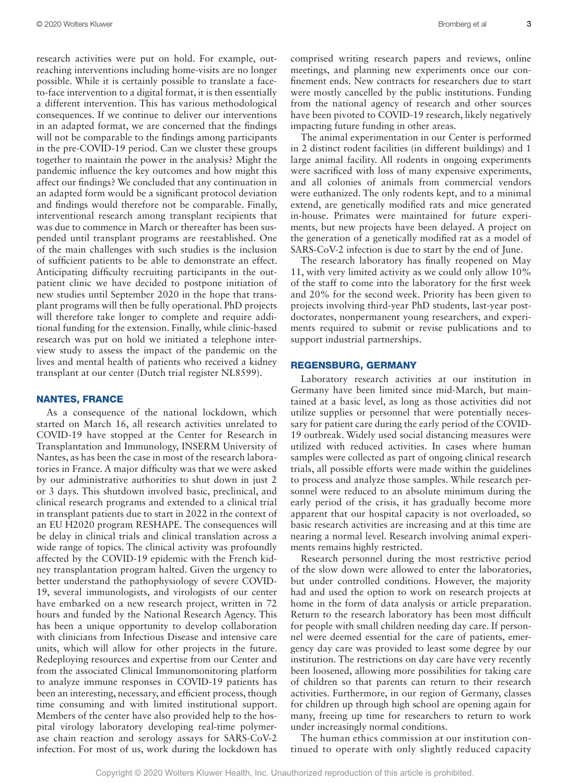research activities were put on hold. For example, outreaching interventions including home-visits are no longer possible. While it is certainly possible to translate a faceto-face intervention to a digital format, it is then essentially a different intervention. This has various methodological consequences. If we continue to deliver our interventions in an adapted format, we are concerned that the findings will not be comparable to the findings among participants in the pre-COVID-19 period. Can we cluster these groups together to maintain the power in the analysis? Might the pandemic influence the key outcomes and how might this affect our findings? We concluded that any continuation in an adapted form would be a significant protocol deviation and findings would therefore not be comparable. Finally, interventional research among transplant recipients that was due to commence in March or thereafter has been suspended until transplant programs are reestablished. One of the main challenges with such studies is the inclusion of sufficient patients to be able to demonstrate an effect. Anticipating difficulty recruiting participants in the outpatient clinic we have decided to postpone initiation of new studies until September 2020 in the hope that transplant programs will then be fully operational. PhD projects will therefore take longer to complete and require additional funding for the extension. Finally, while clinic-based research was put on hold we initiated a telephone interview study to assess the impact of the pandemic on the lives and mental health of patients who received a kidney transplant at our center (Dutch trial register NL8599).

#### NANTES, FRANCE

As a consequence of the national lockdown, which started on March 16, all research activities unrelated to COVID-19 have stopped at the Center for Research in Transplantation and Immunology, INSERM University of Nantes, as has been the case in most of the research laboratories in France. A major difficulty was that we were asked by our administrative authorities to shut down in just 2 or 3 days. This shutdown involved basic, preclinical, and clinical research programs and extended to a clinical trial in transplant patients due to start in 2022 in the context of an EU H2020 program RESHAPE. The consequences will be delay in clinical trials and clinical translation across a wide range of topics. The clinical activity was profoundly affected by the COVID-19 epidemic with the French kidney transplantation program halted. Given the urgency to better understand the pathophysiology of severe COVID-19, several immunologists, and virologists of our center have embarked on a new research project, written in 72 hours and funded by the National Research Agency. This has been a unique opportunity to develop collaboration with clinicians from Infectious Disease and intensive care units, which will allow for other projects in the future. Redeploying resources and expertise from our Center and from the associated Clinical Immunomonitoring platform to analyze immune responses in COVID-19 patients has been an interesting, necessary, and efficient process, though time consuming and with limited institutional support. Members of the center have also provided help to the hospital virology laboratory developing real-time polymerase chain reaction and serology assays for SARS-CoV-2 infection. For most of us, work during the lockdown has

comprised writing research papers and reviews, online meetings, and planning new experiments once our confinement ends. New contracts for researchers due to start were mostly cancelled by the public institutions. Funding from the national agency of research and other sources have been pivoted to COVID-19 research, likely negatively impacting future funding in other areas.

The animal experimentation in our Center is performed in 2 distinct rodent facilities (in different buildings) and 1 large animal facility. All rodents in ongoing experiments were sacrificed with loss of many expensive experiments, and all colonies of animals from commercial vendors were euthanized. The only rodents kept, and to a minimal extend, are genetically modified rats and mice generated in-house. Primates were maintained for future experiments, but new projects have been delayed. A project on the generation of a genetically modified rat as a model of SARS-CoV-2 infection is due to start by the end of June.

The research laboratory has finally reopened on May 11, with very limited activity as we could only allow 10% of the staff to come into the laboratory for the first week and 20% for the second week. Priority has been given to projects involving third-year PhD students, last-year postdoctorates, nonpermanent young researchers, and experiments required to submit or revise publications and to support industrial partnerships.

#### REGENSBURG, GERMANY

Laboratory research activities at our institution in Germany have been limited since mid-March, but maintained at a basic level, as long as those activities did not utilize supplies or personnel that were potentially necessary for patient care during the early period of the COVID-19 outbreak. Widely used social distancing measures were utilized with reduced activities. In cases where human samples were collected as part of ongoing clinical research trials, all possible efforts were made within the guidelines to process and analyze those samples. While research personnel were reduced to an absolute minimum during the early period of the crisis, it has gradually become more apparent that our hospital capacity is not overloaded, so basic research activities are increasing and at this time are nearing a normal level. Research involving animal experiments remains highly restricted.

Research personnel during the most restrictive period of the slow down were allowed to enter the laboratories, but under controlled conditions. However, the majority had and used the option to work on research projects at home in the form of data analysis or article preparation. Return to the research laboratory has been most difficult for people with small children needing day care. If personnel were deemed essential for the care of patients, emergency day care was provided to least some degree by our institution. The restrictions on day care have very recently been loosened, allowing more possibilities for taking care of children so that parents can return to their research activities. Furthermore, in our region of Germany, classes for children up through high school are opening again for many, freeing up time for researchers to return to work under increasingly normal conditions.

The human ethics commission at our institution continued to operate with only slightly reduced capacity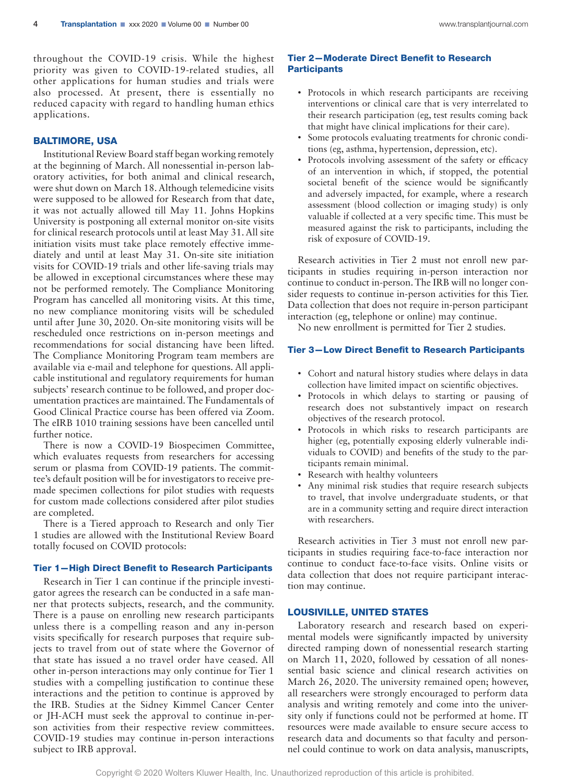throughout the COVID-19 crisis. While the highest priority was given to COVID-19-related studies, all other applications for human studies and trials were also processed. At present, there is essentially no reduced capacity with regard to handling human ethics applications.

# BALTIMORE, USA

Institutional Review Board staff began working remotely at the beginning of March. All nonessential in-person laboratory activities, for both animal and clinical research, were shut down on March 18. Although telemedicine visits were supposed to be allowed for Research from that date, it was not actually allowed till May 11. Johns Hopkins University is postponing all external monitor on-site visits for clinical research protocols until at least May 31. All site initiation visits must take place remotely effective immediately and until at least May 31. On-site site initiation visits for COVID-19 trials and other life-saving trials may be allowed in exceptional circumstances where these may not be performed remotely. The Compliance Monitoring Program has cancelled all monitoring visits. At this time, no new compliance monitoring visits will be scheduled until after June 30, 2020. On-site monitoring visits will be rescheduled once restrictions on in-person meetings and recommendations for social distancing have been lifted. The Compliance Monitoring Program team members are available via e-mail and telephone for questions. All applicable institutional and regulatory requirements for human subjects' research continue to be followed, and proper documentation practices are maintained. The Fundamentals of Good Clinical Practice course has been offered via Zoom. The eIRB 1010 training sessions have been cancelled until further notice.

There is now a COVID-19 Biospecimen Committee, which evaluates requests from researchers for accessing serum or plasma from COVID-19 patients. The committee's default position will be for investigators to receive premade specimen collections for pilot studies with requests for custom made collections considered after pilot studies are completed.

There is a Tiered approach to Research and only Tier 1 studies are allowed with the Institutional Review Board totally focused on COVID protocols:

#### Tier 1—High Direct Benefit to Research Participants

Research in Tier 1 can continue if the principle investigator agrees the research can be conducted in a safe manner that protects subjects, research, and the community. There is a pause on enrolling new research participants unless there is a compelling reason and any in-person visits specifically for research purposes that require subjects to travel from out of state where the Governor of that state has issued a no travel order have ceased. All other in-person interactions may only continue for Tier 1 studies with a compelling justification to continue these interactions and the petition to continue is approved by the IRB. Studies at the Sidney Kimmel Cancer Center or JH-ACH must seek the approval to continue in-person activities from their respective review committees. COVID-19 studies may continue in-person interactions subject to IRB approval.

## Tier 2—Moderate Direct Benefit to Research **Participants**

- Protocols in which research participants are receiving interventions or clinical care that is very interrelated to their research participation (eg, test results coming back that might have clinical implications for their care).
- Some protocols evaluating treatments for chronic conditions (eg, asthma, hypertension, depression, etc).
- Protocols involving assessment of the safety or efficacy of an intervention in which, if stopped, the potential societal benefit of the science would be significantly and adversely impacted, for example, where a research assessment (blood collection or imaging study) is only valuable if collected at a very specific time. This must be measured against the risk to participants, including the risk of exposure of COVID-19.

Research activities in Tier 2 must not enroll new participants in studies requiring in-person interaction nor continue to conduct in-person. The IRB will no longer consider requests to continue in-person activities for this Tier. Data collection that does not require in-person participant interaction (eg, telephone or online) may continue.

No new enrollment is permitted for Tier 2 studies.

## Tier 3—Low Direct Benefit to Research Participants

- Cohort and natural history studies where delays in data collection have limited impact on scientific objectives.
- Protocols in which delays to starting or pausing of research does not substantively impact on research objectives of the research protocol.
- Protocols in which risks to research participants are higher (eg, potentially exposing elderly vulnerable individuals to COVID) and benefits of the study to the participants remain minimal.
- Research with healthy volunteers
- Any minimal risk studies that require research subjects to travel, that involve undergraduate students, or that are in a community setting and require direct interaction with researchers.

Research activities in Tier 3 must not enroll new participants in studies requiring face-to-face interaction nor continue to conduct face-to-face visits. Online visits or data collection that does not require participant interaction may continue.

## LOUSIVILLE, UNITED STATES

Laboratory research and research based on experimental models were significantly impacted by university directed ramping down of nonessential research starting on March 11, 2020, followed by cessation of all nonessential basic science and clinical research activities on March 26, 2020. The university remained open; however, all researchers were strongly encouraged to perform data analysis and writing remotely and come into the university only if functions could not be performed at home. IT resources were made available to ensure secure access to research data and documents so that faculty and personnel could continue to work on data analysis, manuscripts,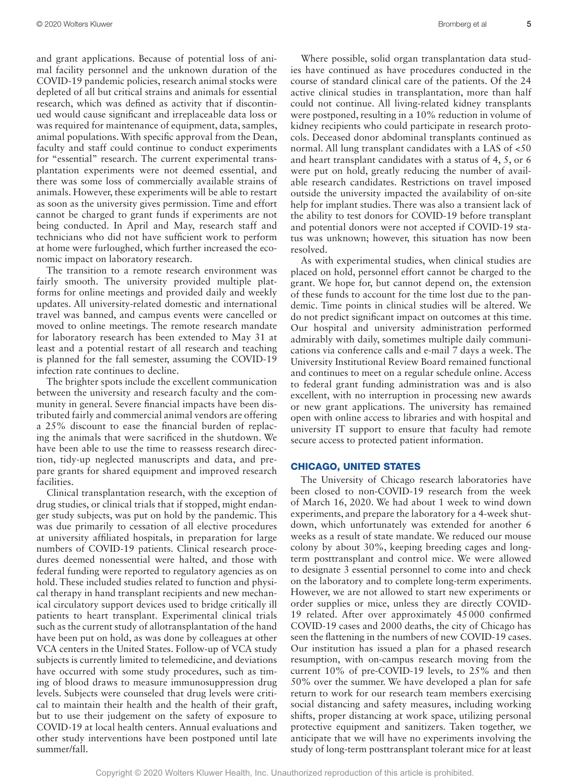and grant applications. Because of potential loss of animal facility personnel and the unknown duration of the COVID-19 pandemic policies, research animal stocks were depleted of all but critical strains and animals for essential research, which was defined as activity that if discontinued would cause significant and irreplaceable data loss or was required for maintenance of equipment, data, samples, animal populations. With specific approval from the Dean, faculty and staff could continue to conduct experiments for "essential" research. The current experimental transplantation experiments were not deemed essential, and there was some loss of commercially available strains of animals. However, these experiments will be able to restart as soon as the university gives permission. Time and effort cannot be charged to grant funds if experiments are not being conducted. In April and May, research staff and technicians who did not have sufficient work to perform at home were furloughed, which further increased the economic impact on laboratory research.

The transition to a remote research environment was fairly smooth. The university provided multiple platforms for online meetings and provided daily and weekly updates. All university-related domestic and international travel was banned, and campus events were cancelled or moved to online meetings. The remote research mandate for laboratory research has been extended to May 31 at least and a potential restart of all research and teaching is planned for the fall semester, assuming the COVID-19 infection rate continues to decline.

The brighter spots include the excellent communication between the university and research faculty and the community in general. Severe financial impacts have been distributed fairly and commercial animal vendors are offering a 25% discount to ease the financial burden of replacing the animals that were sacrificed in the shutdown. We have been able to use the time to reassess research direction, tidy-up neglected manuscripts and data, and prepare grants for shared equipment and improved research facilities.

Clinical transplantation research, with the exception of drug studies, or clinical trials that if stopped, might endanger study subjects, was put on hold by the pandemic. This was due primarily to cessation of all elective procedures at university affiliated hospitals, in preparation for large numbers of COVID-19 patients. Clinical research procedures deemed nonessential were halted, and those with federal funding were reported to regulatory agencies as on hold. These included studies related to function and physical therapy in hand transplant recipients and new mechanical circulatory support devices used to bridge critically ill patients to heart transplant. Experimental clinical trials such as the current study of allotransplantation of the hand have been put on hold, as was done by colleagues at other VCA centers in the United States. Follow-up of VCA study subjects is currently limited to telemedicine, and deviations have occurred with some study procedures, such as timing of blood draws to measure immunosuppression drug levels. Subjects were counseled that drug levels were critical to maintain their health and the health of their graft, but to use their judgement on the safety of exposure to COVID-19 at local health centers. Annual evaluations and other study interventions have been postponed until late summer/fall.

Where possible, solid organ transplantation data studies have continued as have procedures conducted in the course of standard clinical care of the patients. Of the 24 active clinical studies in transplantation, more than half could not continue. All living-related kidney transplants were postponed, resulting in a 10% reduction in volume of kidney recipients who could participate in research protocols. Deceased donor abdominal transplants continued as normal. All lung transplant candidates with a LAS of <50 and heart transplant candidates with a status of 4, 5, or 6 were put on hold, greatly reducing the number of available research candidates. Restrictions on travel imposed outside the university impacted the availability of on-site help for implant studies. There was also a transient lack of the ability to test donors for COVID-19 before transplant and potential donors were not accepted if COVID-19 status was unknown; however, this situation has now been resolved.

As with experimental studies, when clinical studies are placed on hold, personnel effort cannot be charged to the grant. We hope for, but cannot depend on, the extension of these funds to account for the time lost due to the pandemic. Time points in clinical studies will be altered. We do not predict significant impact on outcomes at this time. Our hospital and university administration performed admirably with daily, sometimes multiple daily communications via conference calls and e-mail 7 days a week. The University Institutional Review Board remained functional and continues to meet on a regular schedule online. Access to federal grant funding administration was and is also excellent, with no interruption in processing new awards or new grant applications. The university has remained open with online access to libraries and with hospital and university IT support to ensure that faculty had remote secure access to protected patient information.

#### CHICAGO, UNITED STATES

The University of Chicago research laboratories have been closed to non-COVID-19 research from the week of March 16, 2020. We had about 1 week to wind down experiments, and prepare the laboratory for a 4-week shutdown, which unfortunately was extended for another 6 weeks as a result of state mandate. We reduced our mouse colony by about 30%, keeping breeding cages and longterm posttransplant and control mice. We were allowed to designate 3 essential personnel to come into and check on the laboratory and to complete long-term experiments. However, we are not allowed to start new experiments or order supplies or mice, unless they are directly COVID-19 related. After over approximately 45000 confirmed COVID-19 cases and 2000 deaths, the city of Chicago has seen the flattening in the numbers of new COVID-19 cases. Our institution has issued a plan for a phased research resumption, with on-campus research moving from the current 10% of pre-COVID-19 levels, to 25% and then 50% over the summer. We have developed a plan for safe return to work for our research team members exercising social distancing and safety measures, including working shifts, proper distancing at work space, utilizing personal protective equipment and sanitizers. Taken together, we anticipate that we will have no experiments involving the study of long-term posttransplant tolerant mice for at least